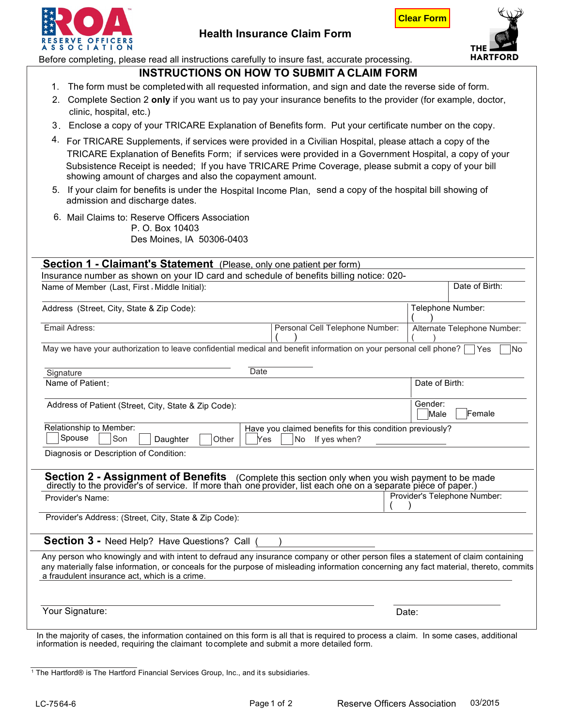



**Clear Form**

Before completing, please read all instructions carefully to insure fast, accurate processing.

- **INSTRUCTIONS ON HOW TO SUBMIT A CLAIM FORM**<br>1. The form must be completed with all requested information, and sign and date the reverse side of form.
- 2. Complete Section 2 **only** if you want us to pay your insurance benefits to the provider (for example, doctor,
- clinic, hospital, etc.)
- 3. Enclose a copy of your TRICARE Explanation of Benefits form. Put your certificate number on the copy.
- 4. For TRICARE Supplements, if services were provided in a Civilian Hospital, please attach a copy of the TRICARE Explanation of Benefits Form; if services were provided in a Government Hospital, a copy of your Subsistence Receipt is needed; If you have TRICARE Prime Coverage, please submit a copy of your bill showing amount of charges and also the copayment amount.
- 5. If your claim for benefits is under the Hospital Income Plan, send a copy of the hospital bill showing of admission and discharge dates.
- 6. Mail Claims to: Reserve Officers Association P. O. Box 10403

| Des Moines, IA 50306-0403 |  |
|---------------------------|--|
|---------------------------|--|

| <b>Section 1 - Claimant's Statement</b> (Please, only one patient per form) | Insurance number as shown on your ID card and schedule of benefits billing notice: 020-                                                                                                                                                                                   |                              |                              |  |
|-----------------------------------------------------------------------------|---------------------------------------------------------------------------------------------------------------------------------------------------------------------------------------------------------------------------------------------------------------------------|------------------------------|------------------------------|--|
| Name of Member (Last, First, Middle Initial):                               |                                                                                                                                                                                                                                                                           |                              | Date of Birth:               |  |
| Address (Street, City, State & Zip Code):<br>Telephone Number:              |                                                                                                                                                                                                                                                                           |                              |                              |  |
| Email Adress:                                                               | Personal Cell Telephone Number:                                                                                                                                                                                                                                           |                              | Alternate Telephone Number:  |  |
|                                                                             | May we have your authorization to leave confidential medical and benefit information on your personal cell phone?                                                                                                                                                         |                              | N <sub>o</sub><br><b>Yes</b> |  |
| Signature                                                                   | Date                                                                                                                                                                                                                                                                      |                              |                              |  |
| Name of Patient:                                                            |                                                                                                                                                                                                                                                                           |                              | Date of Birth:               |  |
| Address of Patient (Street, City, State & Zip Code):                        |                                                                                                                                                                                                                                                                           | Gender:<br>Female<br>Male    |                              |  |
| Relationship to Member:<br>Spouse<br>Son<br>Daughter                        | Have you claimed benefits for this condition previously?<br>Other<br>Yes<br>If yes when?<br>No                                                                                                                                                                            |                              |                              |  |
| Diagnosis or Description of Condition:                                      |                                                                                                                                                                                                                                                                           |                              |                              |  |
|                                                                             | <b>Section 2 - Assignment of Benefits</b> (Complete this section only when you wish payment to be made directly to the provider's of service. If more than one provider, list each one on a separate piece of paper.)                                                     |                              |                              |  |
| Provider's Name:                                                            |                                                                                                                                                                                                                                                                           | Provider's Telephone Number: |                              |  |
| Provider's Address: (Street, City, State & Zip Code):                       |                                                                                                                                                                                                                                                                           |                              |                              |  |
| Section 3 - Need Help? Have Questions? Call (                               |                                                                                                                                                                                                                                                                           |                              |                              |  |
| a fraudulent insurance act, which is a crime.                               | Any person who knowingly and with intent to defraud any insurance company or other person files a statement of claim containing<br>any materially false information, or conceals for the purpose of misleading information concerning any fact material, thereto, commits |                              |                              |  |
|                                                                             |                                                                                                                                                                                                                                                                           |                              |                              |  |

information is needed, requiring the claimant to complete and submit a more detailed form.

<sup>1</sup> The Hartford® is The Hartford Financial Services Group, Inc., and its subsidiaries.